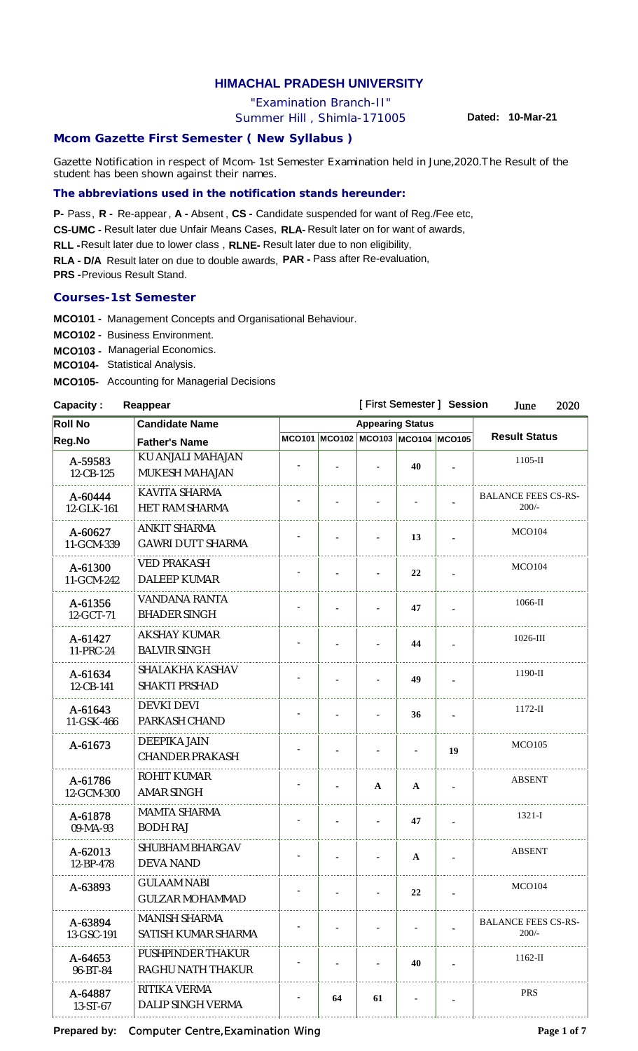# **HIMACHAL PRADESH UNIVERSITY**

"Examination Branch-II"

Summer Hill , Shimla-171005

**Dated: 10-Mar-21**

# **Mcom Gazette First Semester ( New Syllabus )**

Gazette Notification in respect of Mcom-1st Semester Examination held in June,2020.The Result of the student has been shown against their names.

# **The abbreviations used in the notification stands hereunder:**

**P-** Pass, **R** - Re-appear, **A** - Absent, CS - Candidate suspended for want of Reg./Fee etc,

CS-UMC - Result later due Unfair Means Cases, RLA- Result later on for want of awards,

RLL - Result later due to lower class, RLNE- Result later due to non eligibility,

**RLA - D/A** Result later on due to double awards, **PAR -**  Pass after Re-evaluation,

**PRS** - Previous Result Stand.

## **Courses-1st Semester**

**MCO101 -** Management Concepts and Organisational Behaviour.

**MCO102 -** Business Environment.

**MCO103 -** Managerial Economics.

**MCO104-** Statistical Analysis.

**MCO105-** Accounting for Managerial Decisions

#### **Capacity : Reappear**

#### [ First Semester ] **Session** June 2020 **Roll No Candidate Name Appearing Status Result Status Reg.No Father's Name MCO101 MCO102 MCO103 MCO104 MCO105** A-59583 KU ANJALI MAHAJAN 1105-II **- - - 40 -** 12-CB-125 MUKESH MAHAJAN  $A-60444$  KAVITA SHARMA BALANCE FEES CS-RS-200/-<br>200/-<br>200/-12-GLK-161 HET RAM SHARMA  $A-60627$  ANKIT SHARMA **- 1 - 13 - 13 MCO104** 11-GCM-339 GAWRI DUTT SHARMA A-61300 | VED PRAKASH **- 1 - 22 - MCO104** 11-GCM-242 DALEEP KUMAR . . . . . . . . . . . . . . . A-61356 VANDANA RANTA 1066-II **- - - 47 -** 12-GCT-71 BHADER SINGH  $A - 61427$  AKSHAY KUMAR 1026-III **- - - 44 -** 11-PRC-24 BALVIR SINGH A-61634 SHALAKHA KASHAV 1190-II **- - - 49 -** 12-CB-141 SHAKTI PRSHAD  $A-61643$  DEVKI DEVI 1172-II **- - - 36 -** 11-GSK-466 PARKASH CHAND  $A-61673$  DEEPIKA JAIN **- 1 - 19 MCO105** CHANDER PRAKASH A-61786 ROHIT KUMAR<br>2-GCM-300 AMAR SINGH ABSENT **- - AA -**  $12$ -GCM-300 A-61878 MAMTA SHARMA 1321-I **- - - 47 -** 09-MA-93 BODH RAJ A-62013 SHUBHAM BHARGAV ABSENT **- - -A -** 12-BP-478 DEVA NAND  $A-63893$  GULAAM NABI **- 1 - 22 - MCO104** GULZAR MOHAMMAD A-63894 MANISH SHARMA BALANCE FEES CS-RS-200/-<br>200/-<br>200/-13-GSC-191 SATISH KUMAR SHARMA . . . . . . . . . . . . . A-64653 PUSHPINDER THAKUR 1162-II **- - - 40 -** 96-BT-84 RAGHU NATH THAKUR A-64887 RITIKA VERMA PRS **- 64 61 - -** 13-ST-67 DALIP SINGH VERMA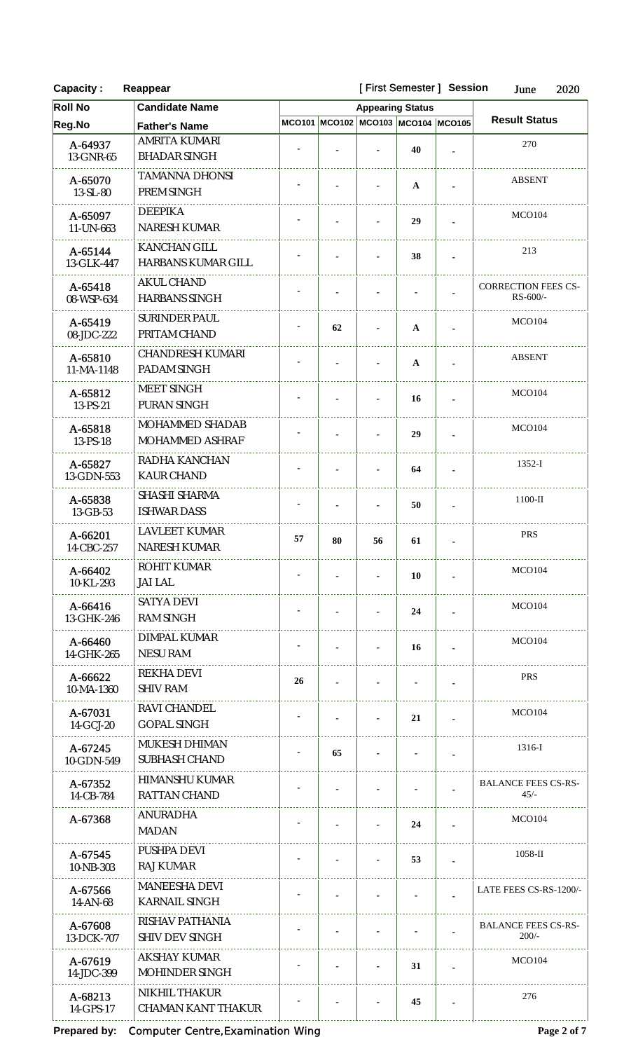| <b>Capacity:</b>      | Reappear                                     |    | [First Semester] Session | 2020<br>June                       |              |                |                                        |  |
|-----------------------|----------------------------------------------|----|--------------------------|------------------------------------|--------------|----------------|----------------------------------------|--|
| <b>Roll No</b>        | <b>Candidate Name</b>                        |    |                          | <b>Appearing Status</b>            |              |                |                                        |  |
| Reg.No                | <b>Father's Name</b>                         |    |                          | MCO101 MCO102 MCO103 MCO104 MCO105 |              |                | <b>Result Status</b>                   |  |
| A-64937<br>13-GNR-65  | AMRITA KUMARI<br><b>BHADAR SINGH</b>         |    |                          |                                    | 40           | $\blacksquare$ | 270                                    |  |
| A-65070<br>13-SL-80   | <b>TAMANNA DHONSI</b><br>PREM SINGH          |    |                          |                                    | $\mathbf{A}$ | $\blacksquare$ | <b>ABSENT</b>                          |  |
| A-65097<br>11-UN-663  | <b>DEEPIKA</b><br>NARESH KUMAR               |    |                          | 29                                 |              |                | <b>MCO104</b>                          |  |
| A-65144<br>13-GLK-447 | KANCHAN GILL<br>HARBANS KUMAR GILL           |    |                          |                                    | 38           |                | 213                                    |  |
| A-65418<br>08-WSP-634 | <b>AKUL CHAND</b><br><b>HARBANS SINGH</b>    |    |                          |                                    |              |                | <b>CORRECTION FEES CS-</b><br>RS-600/- |  |
| A-65419<br>08-JDC-222 | <b>SURINDER PAUL</b><br>PRITAM CHAND         |    | 62                       |                                    | $\mathbf{A}$ |                | <b>MCO104</b>                          |  |
| A-65810<br>11-MA-1148 | <b>CHANDRESH KUMARI</b><br>PADAM SINGH       |    |                          |                                    | $\mathbf{A}$ |                | <b>ABSENT</b>                          |  |
| A-65812<br>13-PS-21   | MEET SINGH<br>PURAN SINGH                    |    |                          |                                    | 16           | $\blacksquare$ | <b>MCO104</b>                          |  |
| A-65818<br>13-PS-18   | MOHAMMED SHADAB<br>MOHAMMED ASHRAF           |    |                          |                                    | 29           |                | <b>MCO104</b>                          |  |
| A-65827<br>13-GDN-553 | RADHA KANCHAN<br><b>KAUR CHAND</b>           |    |                          |                                    | 64           |                | $1352-I$                               |  |
| A-65838<br>13-GB-53   | SHASHI SHARMA<br><b>ISHWAR DASS</b>          |    |                          |                                    | 50           | $\blacksquare$ | $1100-H$                               |  |
| A-66201<br>14-CBC-257 | <b>LAVLEET KUMAR</b><br>NARESH KUMAR         | 57 | 80                       | 56                                 | 61           |                | <b>PRS</b>                             |  |
| A-66402<br>10-KL-293  | ROHIT KUMAR<br>JAI LAL                       |    |                          |                                    | 10           |                | <b>MCO104</b>                          |  |
| A-66416<br>13-GHK-246 | <b>SATYA DEVI</b><br><b>RAM SINGH</b>        |    |                          |                                    | 24           | $\blacksquare$ | MCO <sub>104</sub>                     |  |
| A-66460<br>14-GHK-265 | DIMPAL KUMAR<br><b>NESU RAM</b>              |    |                          |                                    | 16           | ×              | MCO <sub>104</sub>                     |  |
| A-66622<br>10-MA-1360 | <b>REKHA DEVI</b><br><b>SHIV RAM</b>         | 26 |                          |                                    |              |                | <b>PRS</b>                             |  |
| A-67031<br>14-GCJ-20  | RAVI CHANDEL<br><b>GOPAL SINGH</b>           |    |                          |                                    | 21           | $\blacksquare$ | <b>MCO104</b>                          |  |
| A-67245<br>10-GDN-549 | MUKESH DHIMAN<br>SUBHASH CHAND               |    | 65                       |                                    |              |                | 1316-I                                 |  |
| A-67352<br>14-CB-784  | HIMANSHU KUMAR<br><b>RATTAN CHAND</b>        |    |                          |                                    |              |                | <b>BALANCE FEES CS-RS-</b><br>$45/-$   |  |
| A-67368               | <b>ANURADHA</b><br><b>MADAN</b>              |    |                          |                                    | 24           |                | <b>MCO104</b>                          |  |
| A-67545<br>10-NB-303  | PUSHPA DEVI<br><b>RAJ KUMAR</b>              |    |                          |                                    | 53           |                | $1058$ -II                             |  |
| A-67566<br>14-AN-68   | <b>MANEESHA DEVI</b><br><b>KARNAIL SINGH</b> |    |                          |                                    |              |                | LATE FEES CS-RS-1200/-                 |  |
| A-67608<br>13-DCK-707 | RISHAV PATHANIA<br><b>SHIV DEV SINGH</b>     |    |                          |                                    |              |                | <b>BALANCE FEES CS-RS-</b><br>$200/-$  |  |
| A-67619<br>14-JDC-399 | <b>AKSHAY KUMAR</b><br>MOHINDER SINGH        |    |                          |                                    | 31           |                | <b>MCO104</b>                          |  |
| A-68213<br>14-GPS-17  | NIKHIL THAKUR<br><b>CHAMAN KANT THAKUR</b>   |    |                          |                                    | 45           |                | 276                                    |  |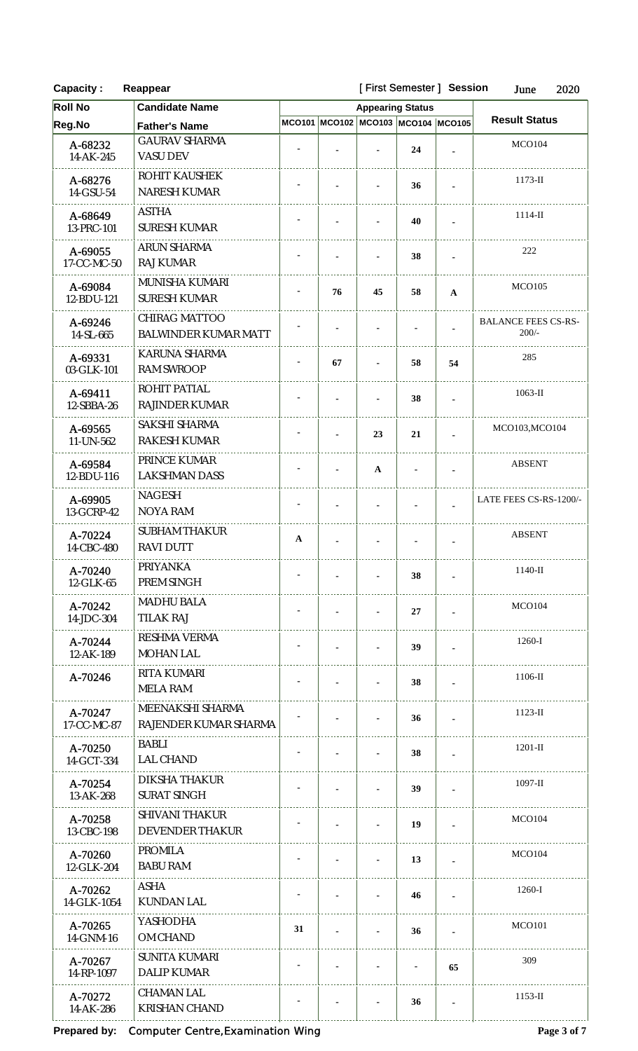| <b>Capacity:</b>       | Reappear                                     |              |    |                                    | [First Semester] Session |                            | June<br>2020                          |  |
|------------------------|----------------------------------------------|--------------|----|------------------------------------|--------------------------|----------------------------|---------------------------------------|--|
| <b>Roll No</b>         | <b>Candidate Name</b>                        |              |    | <b>Appearing Status</b>            |                          |                            |                                       |  |
| Reg.No                 | <b>Father's Name</b>                         |              |    | MCO101 MCO102 MCO103 MCO104 MCO105 |                          |                            | <b>Result Status</b>                  |  |
| A-68232<br>14-AK-245   | <b>GAURAV SHARMA</b><br><b>VASU DEV</b>      |              |    |                                    | 24                       |                            | MCO104                                |  |
| A-68276<br>14-GSU-54   | ROHIT KAUSHEK<br>NARESH KUMAR                |              |    |                                    | 36                       | $\blacksquare$             | $1173$ -II                            |  |
| A-68649<br>13-PRC-101  | <b>ASTHA</b><br><b>SURESH KUMAR</b>          |              |    |                                    | 40                       | $\blacksquare$             | $1114$ -II                            |  |
| A-69055<br>17-CC-MC-50 | ARUN SHARMA<br><b>RAJ KUMAR</b>              |              |    |                                    | 38                       |                            | 222                                   |  |
| A-69084<br>12-BDU-121  | MUNISHA KUMARI<br><b>SURESH KUMAR</b>        |              | 76 | 45                                 | 58                       | $\mathbf{A}$               | <b>MCO105</b>                         |  |
| A-69246<br>14-SL-665   | CHIRAG MATTOO<br><b>BALWINDER KUMAR MATT</b> |              |    |                                    |                          |                            | <b>BALANCE FEES CS-RS-</b><br>$200/-$ |  |
| A-69331<br>03-GLK-101  | KARUNA SHARMA<br><b>RAM SWROOP</b>           |              | 67 |                                    | 58                       | 54                         | 285                                   |  |
| A-69411<br>12-SBBA-26  | ROHIT PATIAL<br>RAJINDER KUMAR               |              |    |                                    | 38                       | $\blacksquare$             | $1063$ -II                            |  |
| A-69565<br>11-UN-562   | SAKSHI SHARMA<br>RAKESH KUMAR                |              |    | 23                                 | 21                       |                            | MCO103, MCO104                        |  |
| A-69584<br>12-BDU-116  | PRINCE KUMAR<br><b>LAKSHMAN DASS</b>         |              |    | $\mathbf A$                        |                          | ä,                         | <b>ABSENT</b>                         |  |
| A-69905<br>13-GCRP-42  | <b>NAGESH</b><br><b>NOYA RAM</b>             |              |    |                                    |                          |                            | LATE FEES CS-RS-1200/-                |  |
| A-70224<br>14-CBC-480  | <b>SUBHAM THAKUR</b><br>RAVI DUTT            | $\mathbf{A}$ |    |                                    |                          |                            | <b>ABSENT</b>                         |  |
| A-70240<br>12-GLK-65   | PRIYANKA<br>PREM SINGH                       |              |    |                                    | 38                       |                            | $1140-II$                             |  |
| A-70242<br>14-JDC-304  | <b>MADHU BALA</b><br><b>TILAK RAJ</b>        |              |    |                                    | 27                       |                            | MCO104                                |  |
| A-70244<br>12-AK-189   | <b>RESHMA VERMA</b><br><b>MOHAN LAL</b>      |              |    |                                    | 39                       |                            | $1260-I$                              |  |
| A-70246                | RITA KUMARI<br><b>MELA RAM</b>               |              |    |                                    | 38                       |                            | $1106$ -II                            |  |
| A-70247<br>17-CC-MC-87 | MEENAKSHI SHARMA<br>RAJENDER KUMAR SHARMA    |              |    |                                    | 36                       | $1123-H$<br>$\overline{a}$ |                                       |  |
| A-70250<br>14-GCT-334  | <b>BABLI</b><br><b>LAL CHAND</b>             |              |    |                                    | 38                       |                            | $1201 - H$                            |  |
| A-70254<br>13-AK-268   | DIKSHA THAKUR<br><b>SURAT SINGH</b>          |              |    |                                    | 39                       |                            | $1097 - H$                            |  |
| A-70258<br>13-CBC-198  | <b>SHIVANI THAKUR</b><br>DEVENDER THAKUR     |              |    |                                    | 19                       |                            | MCO104                                |  |
| A-70260<br>12-GLK-204  | <b>PROMILA</b><br><b>BABU RAM</b>            |              |    |                                    | 13                       |                            | MCO104                                |  |
| A-70262<br>14-GLK-1054 | ASHA<br><b>KUNDAN LAL</b>                    |              |    |                                    | 46                       |                            | $1260-I$                              |  |
| A-70265<br>14-GNM-16   | YASHODHA<br>OM CHAND                         | 31           |    |                                    | 36                       |                            | <b>MCO101</b>                         |  |
| A-70267<br>14-RP-1097  | <b>SUNITA KUMARI</b><br>DALIP KUMAR          |              |    |                                    |                          | 65                         | 309                                   |  |
| A-70272<br>14-AK-286   | <b>CHAMAN LAL</b><br><b>KRISHAN CHAND</b>    |              |    |                                    | 36                       |                            | $1153$ -II                            |  |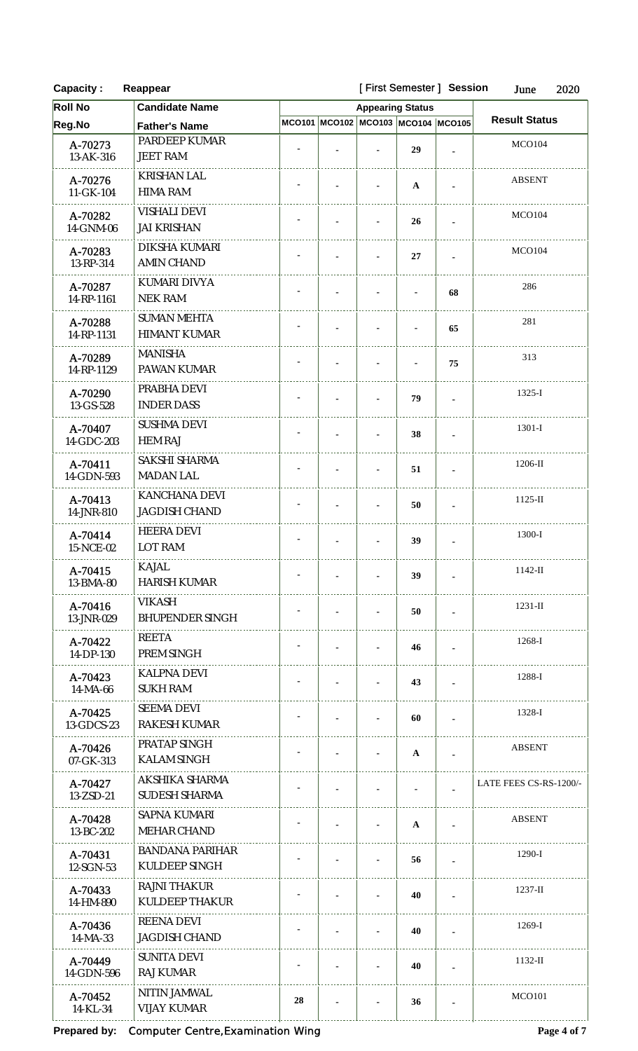| <b>Capacity:</b>      | Reappear                                     | [First Semester] Session | June<br>2020                       |              |                          |                        |  |
|-----------------------|----------------------------------------------|--------------------------|------------------------------------|--------------|--------------------------|------------------------|--|
| <b>Roll No</b>        | <b>Candidate Name</b>                        |                          | <b>Appearing Status</b>            |              |                          |                        |  |
| Reg.No                | <b>Father's Name</b>                         |                          | MCO101 MCO102 MCO103 MCO104 MCO105 |              |                          | <b>Result Status</b>   |  |
| A-70273<br>13-AK-316  | PARDEEP KUMAR<br><b>JEET RAM</b>             |                          |                                    | 29           |                          | <b>MCO104</b>          |  |
| A-70276<br>11-GK-104  | <b>KRISHAN LAL</b><br><b>HIMA RAM</b>        |                          |                                    | $\mathbf{A}$ |                          | <b>ABSENT</b>          |  |
| A-70282<br>14-GNM-06  | <b>VISHALI DEVI</b><br><b>JAI KRISHAN</b>    |                          |                                    | 26           | $\blacksquare$           | <b>MCO104</b>          |  |
| A-70283<br>13-RP-314  | DIKSHA KUMARI<br><b>AMIN CHAND</b>           |                          |                                    | 27           |                          | <b>MCO104</b>          |  |
| A-70287<br>14-RP-1161 | KUMARI DIVYA<br><b>NEK RAM</b>               |                          |                                    |              | 68                       | 286                    |  |
| A-70288<br>14-RP-1131 | <b>SUMAN MEHTA</b><br><b>HIMANT KUMAR</b>    |                          |                                    |              | 65                       | 281                    |  |
| A-70289<br>14-RP-1129 | <b>MANISHA</b><br>PAWAN KUMAR                |                          |                                    |              | 75                       | 313                    |  |
| A-70290<br>13-GS-528  | PRABHA DEVI<br><b>INDER DASS</b>             |                          |                                    | 79           | $\blacksquare$           | $1325 - I$             |  |
| A-70407<br>14-GDC-203 | <b>SUSHMA DEVI</b><br><b>HEM RAJ</b>         |                          |                                    | 38           |                          | $1301-I$               |  |
| A-70411<br>14-GDN-593 | SAKSHI SHARMA<br><b>MADAN LAL</b>            |                          |                                    | 51           | $\overline{\phantom{a}}$ | 1206-II                |  |
| A-70413<br>14-JNR-810 | KANCHANA DEVI<br><b>JAGDISH CHAND</b>        |                          |                                    | 50           | $\blacksquare$           | $1125$ -II             |  |
| A-70414<br>15-NCE-02  | <b>HEERA DEVI</b><br>LOT RAM                 |                          | ٠                                  | 39           |                          | 1300-I                 |  |
| A-70415<br>13-BMA-80  | <b>KAJAL</b><br><b>HARISH KUMAR</b>          |                          |                                    | 39           |                          | $1142$ -II             |  |
| A-70416<br>13-JNR-029 | <b>VIKASH</b><br><b>BHUPENDER SINGH</b>      |                          |                                    | 50           | $\blacksquare$           | $1231 - H$             |  |
| A-70422<br>14-DP-130  | REETA<br>PREM SINGH                          |                          |                                    | 46           |                          | 1268-I                 |  |
| A-70423<br>$14-MA-66$ | <b>KALPNA DEVI</b><br><b>SUKH RAM</b>        |                          |                                    | 43           |                          | 1288-I                 |  |
| A-70425<br>13-GDCS-23 | <b>SEEMA DEVI</b><br><b>RAKESH KUMAR</b>     |                          |                                    | 60           |                          | 1328-I                 |  |
| A-70426<br>07-GK-313  | PRATAP SINGH<br><b>KALAM SINGH</b>           |                          |                                    | $\mathbf{A}$ |                          | <b>ABSENT</b>          |  |
| A-70427<br>13-ZSD-21  | AKSHIKA SHARMA<br><b>SUDESH SHARMA</b>       |                          |                                    |              |                          | LATE FEES CS-RS-1200/- |  |
| A-70428<br>13-BC-202  | <b>SAPNA KUMARI</b><br>MEHAR CHAND           |                          |                                    | $\mathbf{A}$ | $\blacksquare$           | <b>ABSENT</b>          |  |
| A-70431<br>12-SGN-53  | <b>BANDANA PARIHAR</b><br>KULDEEP SINGH      |                          |                                    | 56           |                          | $1290-I$               |  |
| A-70433<br>14-HM-890  | <b>RAJNI THAKUR</b><br><b>KULDEEP THAKUR</b> |                          |                                    | 40           |                          | $1237 - H$             |  |
| A-70436<br>14-MA-33   | <b>REENA DEVI</b><br><b>JAGDISH CHAND</b>    |                          |                                    | 40           |                          | $1269-I$               |  |
| A-70449<br>14-GDN-596 | <b>SUNITA DEVI</b><br><b>RAJ KUMAR</b>       |                          |                                    | 40           |                          | $1132-H$               |  |
| A-70452<br>14-KL-34   | NITIN JAMWAL<br><b>VIJAY KUMAR</b>           | 28                       |                                    | 36           |                          | <b>MCO101</b>          |  |

 $\mathbb{R}^n$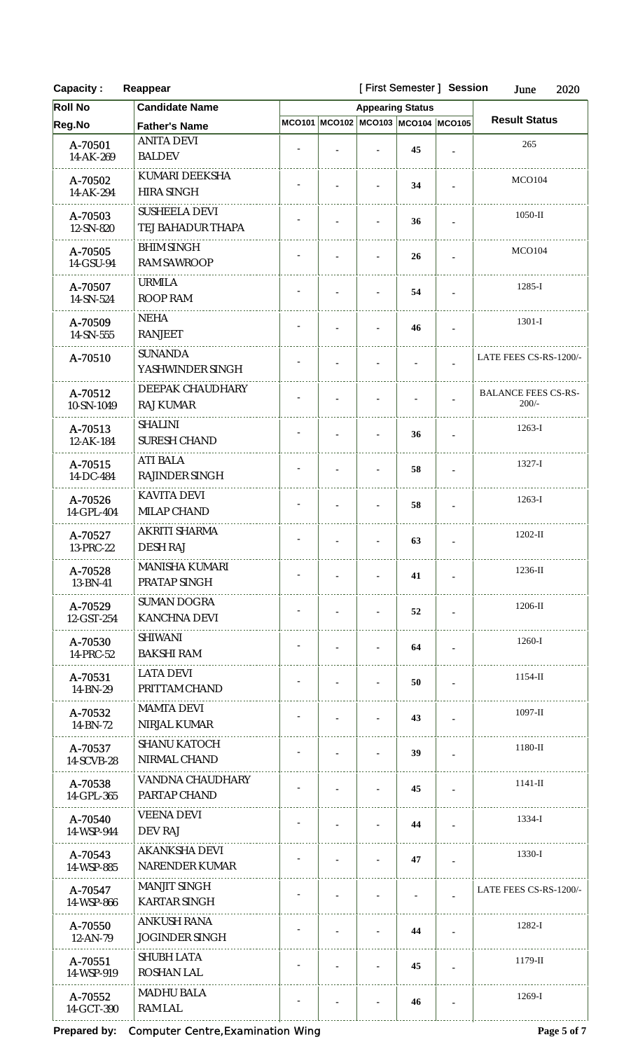| <b>Capacity:</b>      | [First Semester] Session<br>Reappear |                         |  |                |                                    |                |                                       |  |
|-----------------------|--------------------------------------|-------------------------|--|----------------|------------------------------------|----------------|---------------------------------------|--|
| <b>Roll No</b>        | <b>Candidate Name</b>                | <b>Appearing Status</b> |  |                |                                    |                |                                       |  |
| Reg.No                | <b>Father's Name</b>                 |                         |  |                | MCO101 MCO102 MCO103 MCO104 MCO105 |                | <b>Result Status</b>                  |  |
| A-70501               | <b>ANITA DEVI</b>                    |                         |  |                | 45                                 |                | 265                                   |  |
| 14-AK-269             | <b>BALDEV</b>                        |                         |  |                |                                    |                |                                       |  |
| A-70502               | KUMARI DEEKSHA                       |                         |  |                | 34                                 |                | <b>MCO104</b>                         |  |
| 14-AK-294             | HIRA SINGH                           |                         |  |                |                                    |                |                                       |  |
| A-70503               | <b>SUSHEELA DEVI</b>                 |                         |  |                | 36                                 | $\blacksquare$ | $1050-II$                             |  |
| 12-SN-820             | TEJ BAHADUR THAPA                    |                         |  |                |                                    |                |                                       |  |
| A-70505               | <b>BHIM SINGH</b>                    |                         |  |                | 26                                 |                | <b>MCO104</b>                         |  |
| 14-GSU-94             | <b>RAM SAWROOP</b>                   |                         |  |                |                                    |                |                                       |  |
| A-70507               | <b>URMILA</b><br><b>ROOP RAM</b>     |                         |  |                | 54                                 | $\blacksquare$ | $1285-I$                              |  |
| 14-SN-524             |                                      |                         |  |                |                                    |                |                                       |  |
| A-70509<br>14-SN-555  | <b>NEHA</b><br><b>RANJEET</b>        |                         |  |                | 46                                 | $\blacksquare$ | $1301-I$                              |  |
|                       | <b>SUNANDA</b>                       |                         |  |                |                                    |                |                                       |  |
| A-70510               | YASHWINDER SINGH                     |                         |  |                |                                    |                | LATE FEES CS-RS-1200/-                |  |
|                       | DEEPAK CHAUDHARY                     |                         |  |                |                                    |                |                                       |  |
| A-70512<br>10-SN-1049 | <b>RAJ KUMAR</b>                     |                         |  |                |                                    |                | <b>BALANCE FEES CS-RS-</b><br>$200/-$ |  |
|                       | <b>SHALINI</b>                       |                         |  |                |                                    |                |                                       |  |
| A-70513<br>12-AK-184  | <b>SURESH CHAND</b>                  |                         |  |                | 36                                 | $\mathbf{r}$   | $1263-I$                              |  |
| A-70515               | <b>ATI BALA</b>                      |                         |  |                |                                    |                | $1327 - I$                            |  |
| 14-DC-484             | RAJINDER SINGH                       |                         |  |                | 58                                 |                |                                       |  |
| A-70526               | <b>KAVITA DEVI</b>                   |                         |  |                |                                    |                | $1263-I$                              |  |
| 14-GPL-404            | MILAP CHAND                          |                         |  |                | 58                                 | $\blacksquare$ |                                       |  |
| A-70527               | AKRITI SHARMA                        |                         |  |                |                                    |                | $1202-II$                             |  |
| 13-PRC-22             | DESH RAJ                             |                         |  | $\blacksquare$ | 63                                 | $\mathbf{r}$   |                                       |  |
| A-70528               | <b>MANISHA KUMARI</b>                |                         |  |                | 41                                 |                | $1236 - H$                            |  |
| 13-BN-41              | PRATAP SINGH                         |                         |  |                |                                    |                |                                       |  |
| A-70529               | <b>SUMAN DOGRA</b>                   |                         |  |                | 52                                 | $\blacksquare$ | $1206$ -II                            |  |
| 12-GST-254            | <b>KANCHNA DEVI</b>                  |                         |  |                |                                    |                |                                       |  |
| A-70530               | <b>SHIWANI</b>                       |                         |  |                | 64                                 |                | 1260-I                                |  |
| 14-PRC-52             | <b>BAKSHI RAM</b>                    |                         |  |                |                                    |                |                                       |  |
| A-70531               | <b>LATA DEVI</b>                     |                         |  |                | 50                                 |                | $1154$ -II                            |  |
| 14-BN-29              | PRITTAM CHAND                        |                         |  |                |                                    |                |                                       |  |
| A-70532<br>14-BN-72   | <b>MAMTA DEVI</b><br>NIRJAL KUMAR    |                         |  |                | 43                                 | ×.             | $1097 - H$                            |  |
|                       | <b>SHANU KATOCH</b>                  |                         |  |                |                                    |                |                                       |  |
| A-70537<br>14-SCVB-28 | NIRMAL CHAND                         |                         |  |                | 39                                 |                | 1180-II                               |  |
|                       | VANDNA CHAUDHARY                     |                         |  |                |                                    |                |                                       |  |
| A-70538<br>14-GPL-365 | PARTAP CHAND                         |                         |  |                | 45                                 |                | $1141 -$ II                           |  |
| A-70540               | <b>VEENA DEVI</b>                    |                         |  |                |                                    |                | $1334 - I$                            |  |
| 14-WSP-944            | DEV RAJ                              |                         |  |                | 44                                 | $\mathbf{r}$   |                                       |  |
| A-70543               | <b>AKANKSHA DEVI</b>                 |                         |  |                |                                    |                | 1330-I                                |  |
| 14-WSP-885            | NARENDER KUMAR                       |                         |  |                | 47                                 | $\blacksquare$ |                                       |  |
| A-70547               | <b>MANJIT SINGH</b>                  |                         |  |                |                                    |                | LATE FEES CS-RS-1200/-                |  |
| 14-WSP-866            | <b>KARTAR SINGH</b>                  |                         |  |                |                                    |                |                                       |  |
| A-70550               | ANKUSH RANA                          |                         |  |                | 44                                 |                | $1282 - I$                            |  |
| $12 - AN - 79$        | <b>JOGINDER SINGH</b>                |                         |  |                |                                    | $\mathbf{r}$   |                                       |  |
| A-70551               | <b>SHUBH LATA</b>                    |                         |  |                | 45                                 | $\blacksquare$ | $1179$ -II                            |  |
| 14-WSP-919            | ROSHAN LAL                           |                         |  |                |                                    |                |                                       |  |
| A-70552               | MADHU BALA                           |                         |  |                | 46                                 |                | $1269-I$                              |  |

14-GCT-390 RAM LAL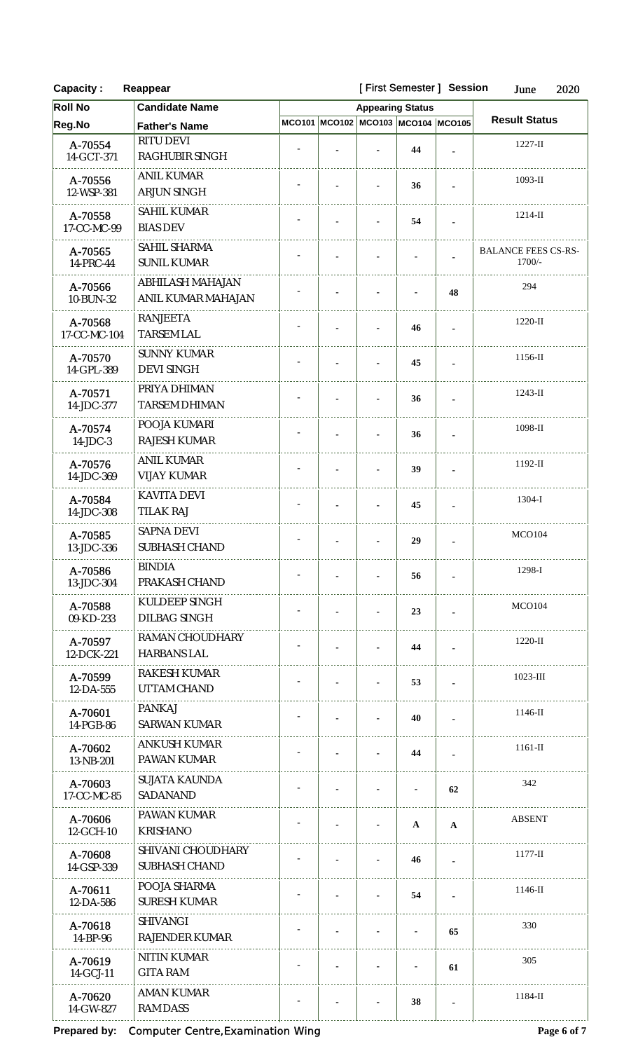| <b>Capacity:</b>        | Reappear                                      |  |                                    | [First Semester] Session |                | June<br>2020                         |  |
|-------------------------|-----------------------------------------------|--|------------------------------------|--------------------------|----------------|--------------------------------------|--|
| <b>Roll No</b>          | <b>Candidate Name</b>                         |  | <b>Appearing Status</b>            |                          |                |                                      |  |
| Reg.No                  | <b>Father's Name</b>                          |  | MCO101 MCO102 MCO103 MCO104 MCO105 |                          |                | <b>Result Status</b>                 |  |
| A-70554<br>14-GCT-371   | RITU DEVI<br>RAGHUBIR SINGH                   |  |                                    | 44                       |                | $1227 - H$                           |  |
| A-70556<br>12-WSP-381   | <b>ANIL KUMAR</b><br>ARJUN SINGH              |  |                                    | 36                       |                | $1093$ -II                           |  |
| A-70558<br>17-CC-MC-99  | <b>SAHIL KUMAR</b><br><b>BIAS DEV</b>         |  |                                    | 54                       |                | $1214$ -II                           |  |
| A-70565<br>14-PRC-44    | SAHIL SHARMA<br><b>SUNIL KUMAR</b>            |  |                                    |                          |                | <b>BALANCE FEES CS-RS-</b><br>1700/- |  |
| A-70566<br>10-BUN-32    | ABHILASH MAHAJAN<br><b>ANIL KUMAR MAHAJAN</b> |  |                                    |                          | 48             | 294                                  |  |
| A-70568<br>17-CC-MC-104 | <b>RANJEETA</b><br><b>TARSEM LAL</b>          |  |                                    | 46                       |                | 1220-II                              |  |
| A-70570<br>14-GPL-389   | <b>SUNNY KUMAR</b><br><b>DEVI SINGH</b>       |  |                                    | 45                       |                | $1156$ -II                           |  |
| A-70571<br>14-JDC-377   | PRIYA DHIMAN<br><b>TARSEM DHIMAN</b>          |  |                                    | 36                       |                | $1243$ -II                           |  |
| A-70574<br>$14$ -JDC-3  | POOJA KUMARI<br><b>RAJESH KUMAR</b>           |  |                                    | 36                       |                | 1098-II                              |  |
| A-70576<br>14-JDC-369   | <b>ANIL KUMAR</b><br><b>VIJAY KUMAR</b>       |  |                                    | 39                       |                | $1192 - H$                           |  |
| A-70584<br>14-JDC-308   | <b>KAVITA DEVI</b><br><b>TILAK RAJ</b>        |  |                                    | 45                       | $\blacksquare$ | 1304-I                               |  |
| A-70585<br>13-JDC-336   | SAPNA DEVI<br>SUBHASH CHAND                   |  | $\blacksquare$                     | 29                       |                | <b>MCO104</b>                        |  |
| A-70586<br>13-JDC-304   | <b>BINDIA</b><br>PRAKASH CHAND                |  |                                    | 56                       |                | 1298-I                               |  |
| A-70588<br>09-KD-233    | KULDEEP SINGH<br><b>DILBAG SINGH</b>          |  |                                    | 23                       | $\overline{a}$ | MCO104                               |  |
| A-70597<br>12-DCK-221   | RAMAN CHOUDHARY<br><b>HARBANS LAL</b>         |  |                                    | 44                       |                | $1220-H$                             |  |
| A-70599<br>12-DA-555    | RAKESH KUMAR<br>UTTAM CHAND                   |  |                                    | 53                       |                | $1023$ -III                          |  |
| A-70601<br>14-PGB-86    | <b>PANKAJ</b><br><b>SARWAN KUMAR</b>          |  |                                    | 40                       |                | $1146 - \text{II}$                   |  |
| A-70602<br>13-NB-201    | ANKUSH KUMAR<br>PAWAN KUMAR                   |  |                                    | 44                       |                | $1161$ -II                           |  |
| A-70603<br>17-CC-MC-85  | <b>SUJATA KAUNDA</b><br>SADANAND              |  |                                    |                          | 62             | 342                                  |  |
| A-70606<br>12-GCH-10    | PAWAN KUMAR<br><b>KRISHANO</b>                |  |                                    | A                        | $\mathbf{A}$   | <b>ABSENT</b>                        |  |
| A-70608<br>14-GSP-339   | SHIVANI CHOUDHARY<br>SUBHASH CHAND            |  |                                    | 46                       |                | $1177 - H$                           |  |
| A-70611<br>12-DA-586    | POOJA SHARMA<br><b>SURESH KUMAR</b>           |  |                                    | 54                       |                | $1146$ -II                           |  |
| A-70618<br>14-BP-96     | <b>SHIVANGI</b><br><b>RAJENDER KUMAR</b>      |  |                                    |                          | 65             | 330                                  |  |
| A-70619<br>14-GCJ-11    | NITIN KUMAR<br><b>GITA RAM</b>                |  |                                    |                          | 61             | 305                                  |  |
| A-70620<br>14-GW-827    | <b>AMAN KUMAR</b><br><b>RAM DASS</b>          |  |                                    | 38                       |                | 1184-II                              |  |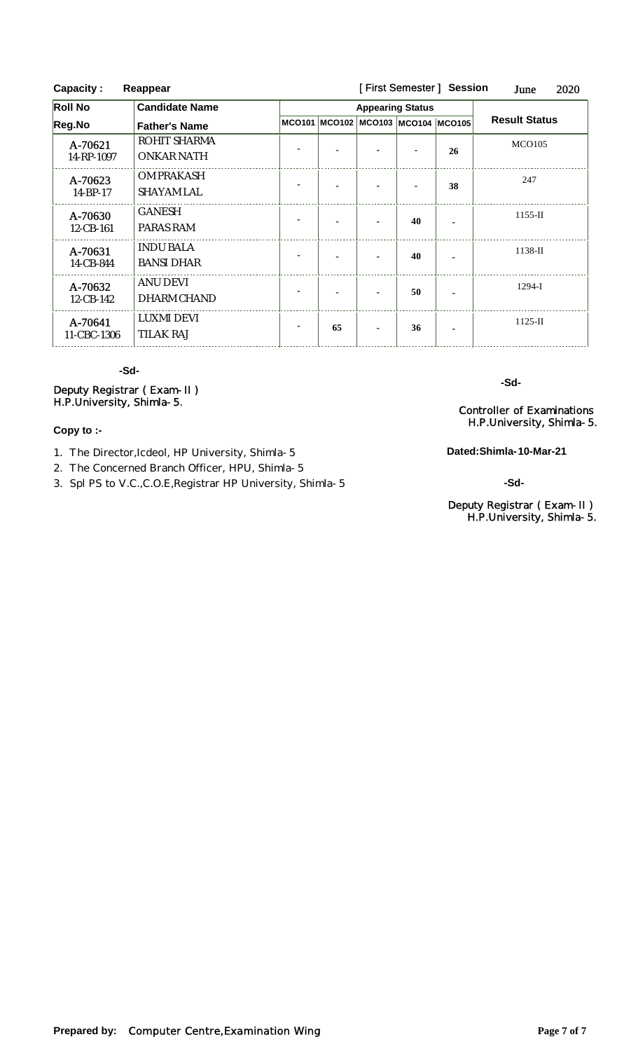| <b>Capacity:</b><br>Reappear |                                       |  |                         |                                    | [First Semester] Session | 2020<br>June |                      |  |
|------------------------------|---------------------------------------|--|-------------------------|------------------------------------|--------------------------|--------------|----------------------|--|
| <b>Roll No</b>               | <b>Candidate Name</b>                 |  | <b>Appearing Status</b> |                                    |                          |              |                      |  |
| Reg.No                       | <b>Father's Name</b>                  |  |                         | MCO101 MCO102 MCO103 MCO104 MCO105 |                          |              | <b>Result Status</b> |  |
| A-70621<br>14-RP-1097        | ROHIT SHARMA<br>ONKAR NATH            |  |                         |                                    |                          | 26           | <b>MCO105</b>        |  |
| A-70623<br>14-BP-17          | OM PRAKASH<br>SHAYAM LAL              |  |                         |                                    |                          | 38           | 247                  |  |
| A-70630<br>12-CB-161         | <b>GANESH</b><br>PARAS RAM            |  |                         |                                    | 40                       |              | $1155 - H$           |  |
| A-70631<br>14-CB-844         | <b>INDU BALA</b><br><b>BANSI DHAR</b> |  |                         |                                    | 40                       |              | $1138-H$             |  |
| A-70632<br>12-CB-142         | ANU DEVI<br>DHARM CHAND               |  |                         |                                    | 50                       |              | $1294-I$             |  |
| A-70641<br>11-CBC-1306       | <b>LUXMI DEVI</b><br><b>TILAK RAJ</b> |  | 65                      |                                    | 36                       |              | $1125-H$             |  |

# **-Sd-**

Deputy Registrar ( Exam-II ) H.P.University, Shimla-5. Controller of Examinations

#### **Copy to :-**

1. The Director,Icdeol, HP University, Shimla-5

2. The Concerned Branch Officer, HPU, Shimla-5

3. Spl PS to V.C.,C.O.E,Registrar HP University, Shimla-5

**-Sd-**

H.P.University, Shimla-5.

**Dated:Shimla-10-Mar-21**

**-Sd-**

#### Deputy Registrar ( Exam-II ) H.P.University, Shimla-5.